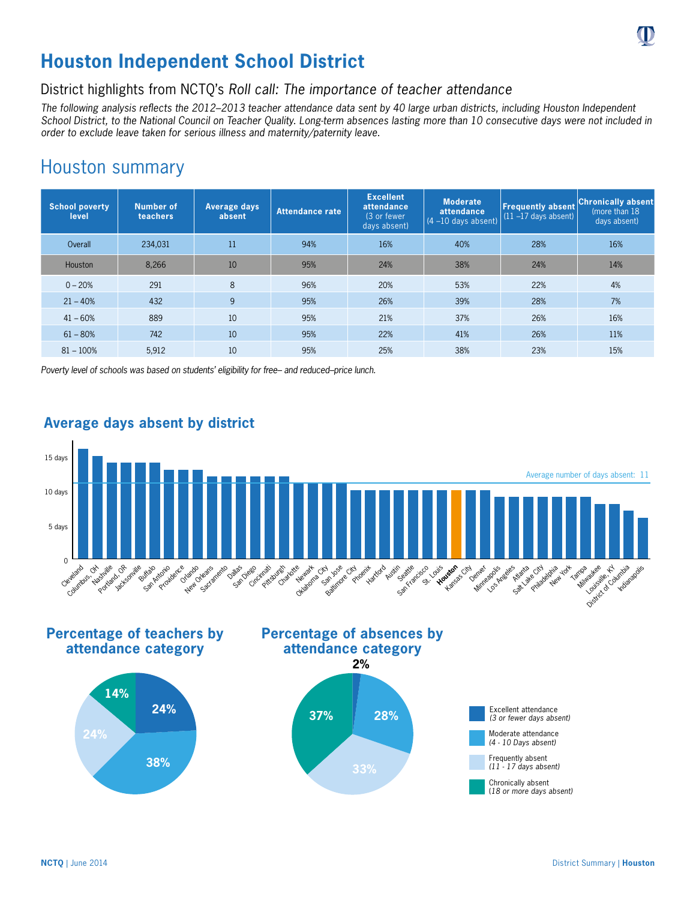

# **Houston Independent School District**

## District highlights from NCTQ's *Roll call: The importance of teacher attendance*

*The following analysis reflects the 2012–2013 teacher attendance data sent by 40 large urban districts, including Houston Independent School District, to the National Council on Teacher Quality. Long-term absences lasting more than 10 consecutive days were not included in order to exclude leave taken for serious illness and maternity/paternity leave.*

## Houston summary

| <b>School poverty</b><br>level | <b>Number of</b><br>teachers | Average days<br>absent | <b>Attendance rate</b> | <b>Excellent</b><br>attendance<br>(3 or fewer)<br>days absent) | <b>Moderate</b><br>attendance<br>$(4 - 10$ days absent) | <b>Frequently absent</b><br>$(11 - 17$ days absent) | <b>Chronically absent</b><br>(more than 18)<br>days absent) |
|--------------------------------|------------------------------|------------------------|------------------------|----------------------------------------------------------------|---------------------------------------------------------|-----------------------------------------------------|-------------------------------------------------------------|
| Overall                        | 234,031                      | 11                     | 94%                    | 16%                                                            | 40%                                                     | 28%                                                 | 16%                                                         |
| <b>Houston</b>                 | 8,266                        | 10                     | 95%                    | 24%                                                            | 38%                                                     | 24%                                                 | 14%                                                         |
| $0 - 20%$                      | 291                          | 8                      | 96%                    | 20%                                                            | 53%                                                     | 22%                                                 | 4%                                                          |
| $21 - 40%$                     | 432                          | 9                      | 95%                    | 26%                                                            | 39%                                                     | 28%                                                 | 7%                                                          |
| $41 - 60%$                     | 889                          | 10                     | 95%                    | 21%                                                            | 37%                                                     | 26%                                                 | 16%                                                         |
| $61 - 80%$                     | 742                          | 10                     | 95%                    | 22%                                                            | 41%                                                     | 26%                                                 | 11%                                                         |
| $81 - 100%$                    | 5,912                        | 10                     | 95%                    | 25%                                                            | 38%                                                     | 23%                                                 | 15%                                                         |

*Poverty level of schools was based on students' eligibility for free– and reduced–price lunch.*



### **Average days absent by district**

**Percentage of teachers by attendance category**









(*18 or more days absent)*